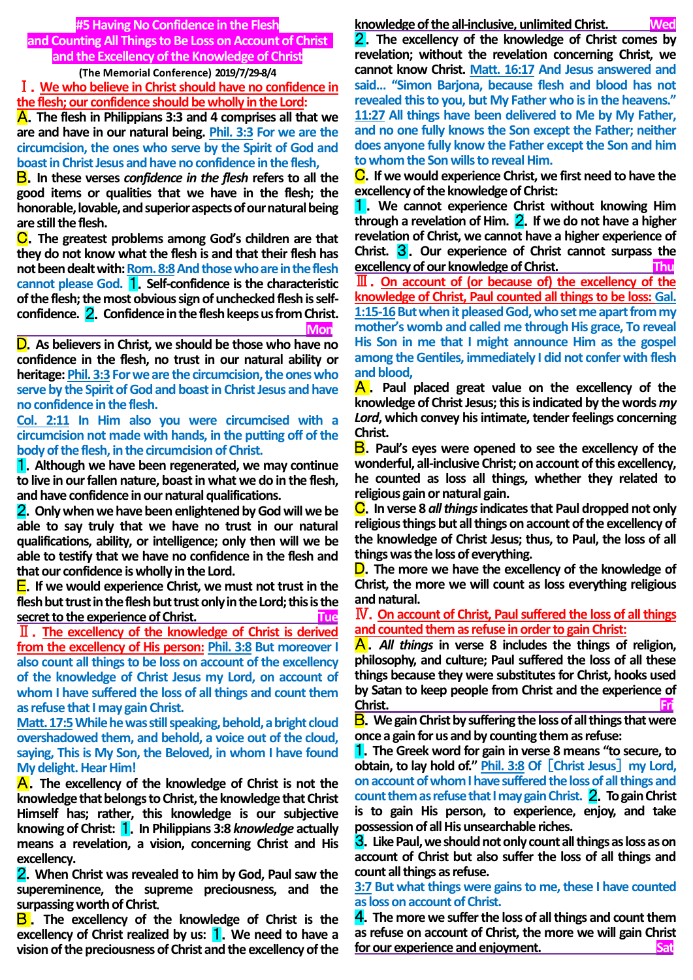**#5 Having No Confidence in the Flesh and Counting All Things to Be Loss on Account of Christ and the Excellency of the Knowledge of Christ**

**(The Memorial Conference) 2019/7/29-8/4**

Ⅰ.**We who believe in Christ should have no confidence in the flesh; our confidence should be wholly in the Lord:**

A.**The flesh in Philippians 3:3 and 4 comprises all that we are and have in our natural being. Phil. 3:3 For we are the circumcision, the ones who serve by the Spirit of God and boast in Christ Jesus and have no confidence in the flesh,**

B.**In these verses** *confidence in the flesh* **refers to all the good items or qualities that we have in the flesh; the honorable, lovable, and superior aspects of our natural being are still the flesh.**

C.**The greatest problems among God's children are that they do not know what the flesh is and that their flesh has not been dealt with: Rom. 8:8And those who are in the flesh cannot please God.** 1.**Self-confidence is the characteristic of the flesh; the most obvious sign of unchecked flesh is selfconfidence.** 2.**Confidence in the flesh keeps us from Christ. Monday Constitution Constitution of the Constitution Constitution Constitution Constitution Constitution** 

D.**As believers in Christ, we should be those who have no confidence in the flesh, no trust in our natural ability or heritage: Phil. 3:3 For we are the circumcision, the ones who serve by the Spirit of God and boast in Christ Jesus and have no confidence in the flesh.**

**Col. 2:11 In Him also you were circumcised with a circumcision not made with hands, in the putting off of the body of the flesh, in the circumcision of Christ.**

1.**Although we have been regenerated, we may continue to live in our fallen nature, boast in what we do in the flesh, and have confidence in our natural qualifications.**

2.**Only when we have been enlightened by God will we be able to say truly that we have no trust in our natural qualifications, ability, or intelligence; only then will we be able to testify that we have no confidence in the flesh and that our confidence is wholly in the Lord.**

E.**If we would experience Christ, we must not trust in the flesh but trust in the flesh but trust only in the Lord; this is the secret to the experience of Christ. Tue**

Ⅱ.**The excellency of the knowledge of Christ is derived from the excellency of His person: Phil. 3:8 But moreover I also count all things to be loss on account of the excellency of the knowledge of Christ Jesus my Lord, on account of whom I have suffered the loss of all things and count them as refuse that I may gain Christ.**

Matt. 17:5 While he was still speaking, behold, a bright cloud **overshadowed them, and behold, a voice out of the cloud, saying, This is My Son, the Beloved, in whom I have found My delight. Hear Him!**

A.**The excellency of the knowledge of Christ is not the knowledge that belongs to Christ, the knowledge that Christ Himself has; rather, this knowledge is our subjective knowing of Christ:** 1.**In Philippians 3:8** *knowledge* **actually means a revelation, a vision, concerning Christ and His excellency.**

2.**When Christ was revealed to him by God, Paul saw the supereminence, the supreme preciousness, and the surpassing worth of Christ**.

B . **The excellency of the knowledge of Christ is the excellency of Christ realized by us:** 1.**We need to have a vision of the preciousness of Christ and the excellency of the**

**knowledge of the all-inclusive, unlimited Christ. Wed**

2.**The excellency of the knowledge of Christ comes by revelation; without the revelation concerning Christ, we cannot know Christ. Matt. 16:17 And Jesus answered and said… "Simon Barjona, because flesh and blood has not revealed this to you, but My Father who is in the heavens." 11:27 All things have been delivered to Me by My Father, and no one fully knows the Son except the Father; neither does anyone fully know the Father except the Son and him to whom the Son wills to reveal Him.**

C.**If we would experience Christ, we first need to have the excellency of the knowledge of Christ:**

1. **We cannot experience Christ without knowing Him through a revelation of Him.** 2.**If we do not have a higher revelation of Christ, we cannot have a higher experience of Christ.** 3.**Our experience of Christ cannot surpass the excellency of our knowledge of Christ. Thu**

Ⅲ.**On account of (or because of) the excellency of the knowledge of Christ, Paul counted all things to be loss: Gal. 1:15-16But when it pleased God, who set me apart from my mother's womb and called me through His grace, To reveal His Son in me that I might announce Him as the gospel among the Gentiles, immediately I did not confer with flesh and blood,**

A . **Paul placed great value on the excellency of the knowledge of Christ Jesus; this is indicated by the words** *my Lord***, which convey his intimate, tender feelings concerning Christ.**

B.**Paul's eyes were opened to see the excellency of the wonderful, all-inclusive Christ; on account of this excellency, he counted as loss all things, whether they related to religious gain or natural gain.**

C.**In verse 8** *all things***indicates that Paul dropped not only religious things but all things on account of the excellency of the knowledge of Christ Jesus; thus, to Paul, the loss of all things was the loss of everything.**

D.**The more we have the excellency of the knowledge of Christ, the more we will count as loss everything religious and natural.**

Ⅳ.**On account of Christ, Paul suffered the loss of all things and counted them as refuse in order to gain Christ:**

A.*All things* **in verse 8 includes the things of religion, philosophy, and culture; Paul suffered the loss of all these things because they were substitutes for Christ, hooks used by Satan to keep people from Christ and the experience of Christ.** Fri

B.**We gain Christ by suffering the loss of all things that were once a gain for us and by counting them as refuse:**

1.**The Greek word for gain in verse 8 means "to secure, to obtain, to lay hold of." Phil. 3:8 Of** [**Christ Jesus**] **my Lord, on account of whom I have suffered the loss of all things and**  count them as refuse that I may gain Christ. **2**. To gain Christ **is to gain His person, to experience, enjoy, and take possession of all His unsearchable riches.**

3.**Like Paul, we should not only count all things as loss as on account of Christ but also suffer the loss of all things and count all things as refuse.**

**3:7 But what things were gains to me, these I have counted as loss on account of Christ.**

4.**The more we suffer the loss of all things and count them as refuse on account of Christ, the more we will gain Christ**  for our experience and enjoyment.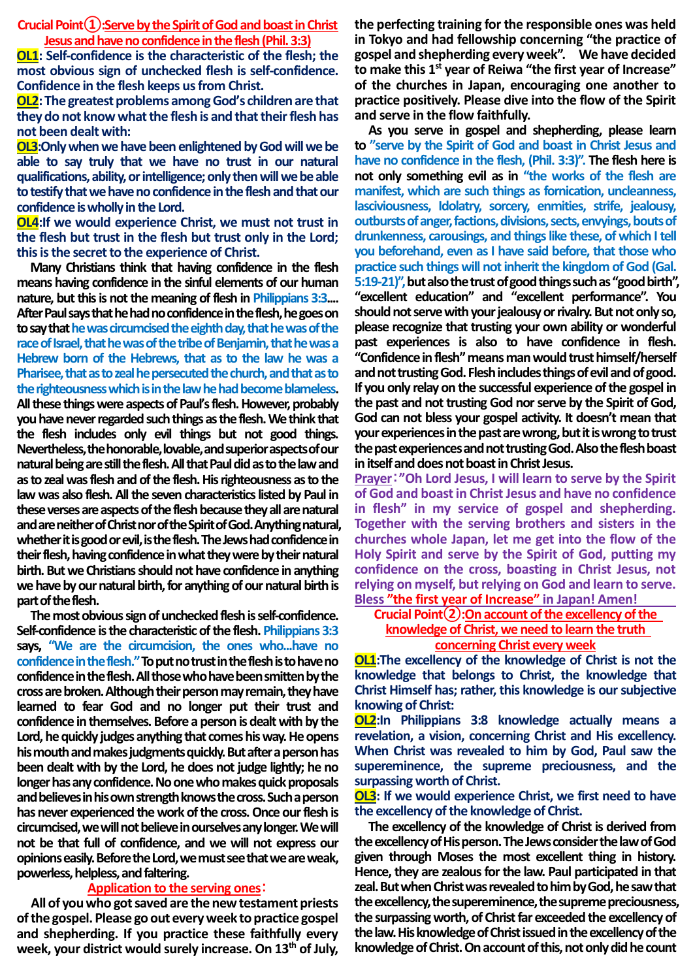Crucial Point(1):Serve by the Spirit of God and boast in Christ **Jesus and have no confidence in the flesh (Phil. 3:3)**

**OL1: Self-confidence is the characteristic of the flesh; the most obvious sign of unchecked flesh is self-confidence. Confidence in the flesh keeps us from Christ.**

**OL2:The greatest problems among God's children are that they do not know what the flesh is and that their flesh has not been dealt with:**

**OL3:Only when we have been enlightened by God will we be able to say truly that we have no trust in our natural qualifications, ability, or intelligence; only then will we be able to testify that we have no confidence in the flesh and that our confidence is wholly in the Lord.** 

**OL4:If we would experience Christ, we must not trust in the flesh but trust in the flesh but trust only in the Lord; this is the secret to the experience of Christ.**

**Many Christians think that having confidence in the flesh means having confidence in the sinful elements of our human nature, but this is not the meaning of flesh in Philippians 3:3.... After Paul says that he had no confidence in the flesh, he goes on to say that he was circumcised the eighth day, that he was of the race of Israel, that he was of the tribe of Benjamin, that he was a Hebrew born of the Hebrews, that as to the law he was a Pharisee, that as to zeal he persecuted the church, and that as to the righteousness which is in the law he had become blameless. All these things were aspects of Paul's flesh. However, probably you have never regarded such things as the flesh. We think that the flesh includes only evil things but not good things. Nevertheless, the honorable, lovable, and superior aspects of our natural being are still the flesh. All that Paul did as to the law and as to zeal was flesh and of the flesh. His righteousness as to the law was also flesh. All the seven characteristics listed by Paul in these verses are aspects of the flesh because they all are natural and are neither of Christ nor of the Spirit of God. Anything natural, whether it is good or evil, is the flesh. The Jews had confidence in their flesh, having confidence in what they were by their natural birth. But we Christians should not have confidence in anything**  we have by our natural birth, for anything of our natural birth is **part of the flesh.** 

**The most obvious sign of unchecked flesh is self-confidence. Self-confidence is the characteristic of the flesh. Philippians 3:3 says, "We are the circumcision, the ones who...have no confidence in the flesh."To put no trust in the flesh is to have no confidence in the flesh. All those who have been smitten by the cross are broken. Although their person may remain, they have learned to fear God and no longer put their trust and confidence in themselves. Before a person is dealt with by the Lord, he quickly judges anything that comes his way. He opens his mouth and makes judgments quickly. But after a person has been dealt with by the Lord, he does not judge lightly; he no longer has any confidence. No one who makes quick proposals and believes in his own strength knows the cross. Such a person has never experienced the work of the cross. Once our flesh is circumcised, we will not believe in ourselves any longer. We will not be that full of confidence, and we will not express our opinions easily. Before the Lord, we must see that we are weak, powerless, helpless, and faltering.** 

### **Application to the serving ones**:

**All of you who got saved are the new testament priests of the gospel. Please go out every week to practice gospel and shepherding. If you practice these faithfully every week, your district would surely increase. On 13th of July,** 

**the perfecting training for the responsible ones was held in Tokyo and had fellowship concerning "the practice of gospel and shepherding every week". We have decided to make this 1st year of Reiwa "the first year of Increase" of the churches in Japan, encouraging one another to practice positively. Please dive into the flow of the Spirit and serve in the flow faithfully.** 

**As you serve in gospel and shepherding, please learn to "serve by the Spirit of God and boast in Christ Jesus and have no confidence in the flesh, (Phil. 3:3)". The flesh here is not only something evil as in "the works of the flesh are manifest, which are such things as fornication, uncleanness, lasciviousness, Idolatry, sorcery, enmities, strife, jealousy, outbursts of anger, factions, divisions, sects, envyings, bouts of drunkenness, carousings, and things like these, of which I tell you beforehand, even as I have said before, that those who practice such things will not inherit the kingdom of God (Gal. 5:19-21)", but also the trust of good things such as"good birth", "excellent education" and "excellent performance". You should not serve with your jealousy or rivalry. But not only so, please recognize that trusting your own ability or wonderful past experiences is also to have confidence in flesh. "Confidence in flesh" means man would trust himself/herself and not trusting God. Flesh includes things of evil and of good. If you only relay on the successful experience of the gospel in the past and not trusting God nor serve by the Spirit of God, God can not bless your gospel activity. It doesn't mean that your experiences in the past are wrong, but it is wrong to trust the past experiencesand not trusting God. Alsothe flesh boast in itself and does not boast in Christ Jesus.** 

**Prayer**:**"Oh Lord Jesus, I will learn to serve by the Spirit of God and boast in Christ Jesus and have no confidence in flesh" in my service of gospel and shepherding. Together with the serving brothers and sisters in the churches whole Japan, let me get into the flow of the Holy Spirit and serve by the Spirit of God, putting my confidence on the cross, boasting in Christ Jesus, not relying on myself, but relying on God and learn to serve. Bless "the first year of Increase" in Japan! Amen!**

## **Crucial Point②:On account of the excellency of the knowledge of Christ, we need to learn the truth concerning Christ every week**

**OL1:The excellency of the knowledge of Christ is not the knowledge that belongs to Christ, the knowledge that Christ Himself has; rather, this knowledge is our subjective knowing of Christ:**

**OL2:In Philippians 3:8 knowledge actually means a revelation, a vision, concerning Christ and His excellency. When Christ was revealed to him by God, Paul saw the supereminence, the supreme preciousness, and the surpassing worth of Christ.**

**OL3: If we would experience Christ, we first need to have the excellency of the knowledge of Christ.**

**The excellency of the knowledge of Christ is derived from the excellency of His person. The Jews consider the law of God given through Moses the most excellent thing in history. Hence, they are zealous for the law. Paul participated in that zeal. But when Christ was revealed to him by God, he saw that the excellency, the supereminence, the supreme preciousness, the surpassing worth, of Christ far exceeded the excellency of the law. His knowledge of Christ issued in the excellency of the knowledge of Christ. On account of this, not only did he count**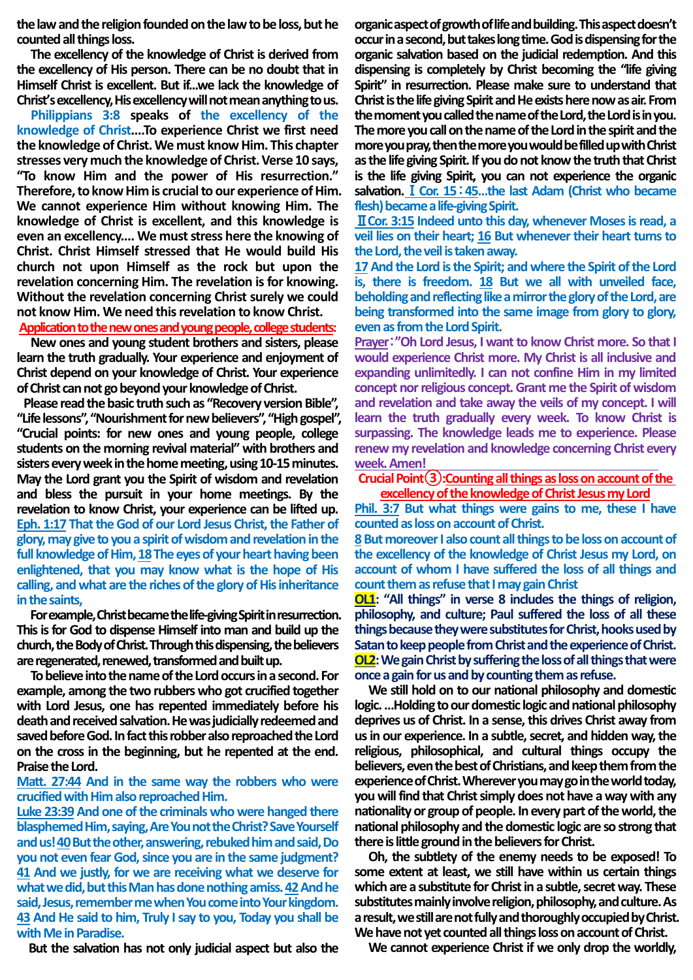**the law and the religion founded on the law to be loss, but he counted all things loss.**

**The excellency of the knowledge of Christ is derived from the excellency of His person. There can be no doubt that in Himself Christ is excellent. But if...we lack the knowledge of Christ's excellency, His excellency will not mean anything to us.**

**Philippians 3:8 speaks of the excellency of the knowledge of Christ....To experience Christ we first need the knowledge of Christ. We must know Him. This chapter stresses very much the knowledge of Christ. Verse 10 says, "To know Him and the power of His resurrection." Therefore, to know Him is crucial to our experience of Him. We cannot experience Him without knowing Him. The knowledge of Christ is excellent, and this knowledge is even an excellency.... We must stress here the knowing of Christ. Christ Himself stressed that He would build His church not upon Himself as the rock but upon the revelation concerning Him. The revelation is for knowing. Without the revelation concerning Christ surely we could not know Him. We need this revelation to know Christ.** 

## **Application to the new ones and young people, college students:**

**New ones and young student brothers and sisters, please learn the truth gradually. Your experience and enjoyment of Christ depend on your knowledge of Christ. Your experience of Christ can not go beyondyour knowledge of Christ.** 

**Please read the basic truth such as "Recovery version Bible", "Life lessons", "Nourishment for new believers", "High gospel", "Crucial points: for new ones and young people, college students on the morning revival material" with brothers and sisters every week in the home meeting, using 10-15 minutes. May the Lord grant you the Spirit of wisdom and revelation and bless the pursuit in your home meetings. By the revelation to know Christ, your experience can be lifted up. Eph. 1:17 That the God of our Lord Jesus Christ, the Father of glory, may give to you a spirit of wisdom and revelation in the**  full knowledge of Him, 18 The eyes of your heart having been **enlightened, that you may know what is the hope of His calling, and what are the riches of the glory of His inheritance in the saints,** 

**For example, Christ became the life-giving Spirit in resurrection. This is for God to dispense Himself into man and build up the church, the Body of Christ. Through this dispensing, the believers are regenerated, renewed, transformed and built up.** 

**To believe into the name of the Lord occurs in a second. For example, among the two rubbers who got crucified together with Lord Jesus, one has repented immediately before his death and received salvation. He was judicially redeemed and saved before God. In fact this robber also reproached the Lord on the cross in the beginning, but he repented at the end. Praise the Lord.** 

## **Matt. 27:44 And in the same way the robbers who were crucified with Him also reproached Him.**

**Luke 23:39 And one of the criminals who were hanged there blasphemed Him, saying, Are You not the Christ? Save Yourself and us! 40But the other, answering, rebuked him and said, Do you not even fear God, since you are in the same judgment? 41 And we justly, for we are receiving what we deserve for what we did, but this Man has done nothing amiss. 42And he said, Jesus, remember me when You come into Your kingdom. 43 And He said to him, Truly I say to you, Today you shall be with Me in Paradise.**

**But the salvation has not only judicial aspect but also the** 

**organic aspect of growth of life and building. This aspect doesn't occur in a second, but takes long time. God is dispensing for the organic salvation based on the judicial redemption. And this dispensing is completely by Christ becoming the "life giving Spirit" in resurrection. Please make sure to understand that Christ is the life giving Spirit and He exists here now as air. From the moment you called the name of the Lord, the Lord is in you. The more you call on the name of the Lord in the spirit and the more you pray, then the more you would be filled up with Christ as the life giving Spirit. If you do not know the truth that Christ is the life giving Spirit, you can not experience the organic salvation.**Ⅰ**Cor. 15**:**45…the last Adam (Christ who became flesh) became a life-giving Spirit.**

Ⅱ**Cor. 3:15 Indeed unto this day, whenever Moses is read, a veil lies on their heart; 16 But whenever their heart turns to the Lord, the veil is taken away.** 

**17And the Lord is the Spirit; and where the Spirit of the Lord is, there is freedom. 18 But we all with unveiled face, beholding and reflecting like a mirror the glory of the Lord, are being transformed into the same image from glory to glory, even as from the Lord Spirit.**

**Prayer**:**"Oh Lord Jesus, I want to know Christ more. So that I would experience Christ more. My Christ is all inclusive and expanding unlimitedly. I can not confine Him in my limited concept nor religious concept. Grant me the Spirit of wisdom and revelation and take away the veils of my concept. I will learn the truth gradually every week. To know Christ is surpassing. The knowledge leads me to experience. Please renew my revelation and knowledge concerning Christ every week. Amen!** 

# **Crucial Point③:Counting all things as loss on account of the**

**excellency of the knowledge of Christ Jesus my Lord**

**Phil. 3:7 But what things were gains to me, these I have counted as loss on account of Christ.**

**8But moreover I also count all things to be loss on account of the excellency of the knowledge of Christ Jesus my Lord, on account of whom I have suffered the loss of all things and count them as refuse that I may gain Christ**

**OL1: "All things" in verse 8 includes the things of religion, philosophy, and culture; Paul suffered the loss of all these things because they were substitutes for Christ, hooks used by Satan to keep people from Christ and the experience of Christ. OL2:** We gain Christ by suffering the loss of all things that were **once a gain for us and by counting them as refuse.**

**We still hold on to our national philosophy and domestic logic. …Holding to our domestic logic and national philosophy deprives us of Christ. In a sense, this drives Christ away from us in our experience. In a subtle, secret, and hidden way, the religious, philosophical, and cultural things occupy the believers, even the best of Christians, and keep them from the experience of Christ. Wherever you may go in the world today, you will find that Christ simply does not have a way with any nationality or group of people. In every part of the world, the national philosophy and the domestic logic are so strong that there is little ground in the believers forChrist.**

**Oh, the subtlety of the enemy needs to be exposed! To some extent at least, we still have within us certain things**  which are a substitute for Christ in a subtle, secret way. These **substitutes mainly involve religion, philosophy, and culture.As a result, we still are not fully andthoroughly occupied by Christ.**  We have not yet counted all things loss on account of Christ.

**We cannot experience Christ if we only drop the worldly,**